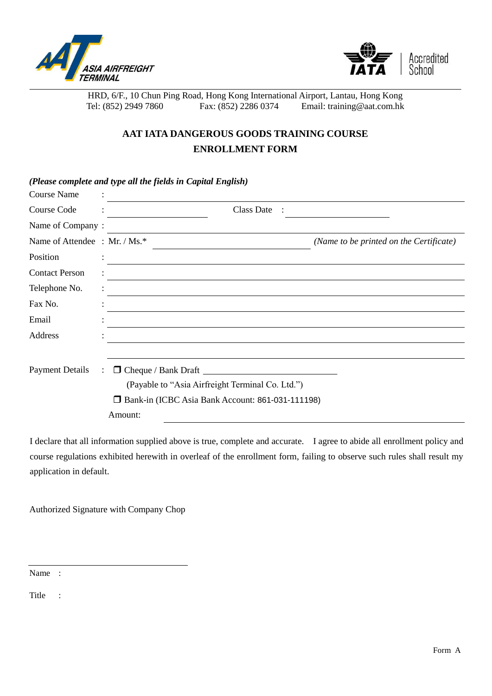



HRD, 6/F., 10 Chun Ping Road, Hong Kong International Airport, Lantau, Hong Kong<br>Tel: (852) 2949 7860 Fax: (852) 2286 0374 Email: training@aat.com.hk Tel: (852) 2949 7860 Fax: (852) 2286 0374 Email: training@aat.com.hk

## **AAT IATA DANGEROUS GOODS TRAINING COURSE ENROLLMENT FORM**

|                               | (Please complete and type all the fields in Capital English) |                                                  |                                         |
|-------------------------------|--------------------------------------------------------------|--------------------------------------------------|-----------------------------------------|
| <b>Course Name</b>            |                                                              |                                                  |                                         |
| Course Code                   |                                                              | <b>Class Date</b>                                |                                         |
| Name of Company:              |                                                              |                                                  |                                         |
| Name of Attendee : Mr. / Ms.* |                                                              |                                                  | (Name to be printed on the Certificate) |
| Position                      |                                                              |                                                  |                                         |
| <b>Contact Person</b>         |                                                              |                                                  |                                         |
| Telephone No.                 |                                                              |                                                  |                                         |
| Fax No.                       |                                                              |                                                  |                                         |
| Email                         |                                                              |                                                  |                                         |
| Address                       |                                                              |                                                  |                                         |
|                               |                                                              |                                                  |                                         |
| <b>Payment Details</b>        |                                                              | $\Box$ Cheque / Bank Draft $\Box$                |                                         |
|                               |                                                              | (Payable to "Asia Airfreight Terminal Co. Ltd.") |                                         |
|                               | Bank-in (ICBC Asia Bank Account: 861-031-111198)<br>0        |                                                  |                                         |
|                               | Amount:                                                      |                                                  |                                         |

I declare that all information supplied above is true, complete and accurate. I agree to abide all enrollment policy and course regulations exhibited herewith in overleaf of the enrollment form, failing to observe such rules shall result my application in default.

Authorized Signature with Company Chop

Name :

Title :